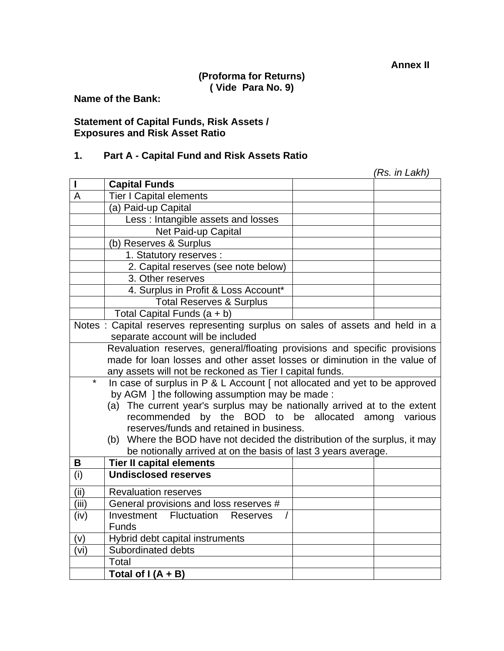## **(Proforma for Returns) ( Vide Para No. 9)**

**Name of the Bank:** 

#### **Statement of Capital Funds, Risk Assets / Exposures and Risk Asset Ratio**

## **1. Part A - Capital Fund and Risk Assets Ratio**

|              |                                                                                                                        |  | (Rs. in Lakh) |  |  |
|--------------|------------------------------------------------------------------------------------------------------------------------|--|---------------|--|--|
| $\mathsf{I}$ | <b>Capital Funds</b>                                                                                                   |  |               |  |  |
| A            | <b>Tier I Capital elements</b>                                                                                         |  |               |  |  |
|              | (a) Paid-up Capital                                                                                                    |  |               |  |  |
|              | Less: Intangible assets and losses                                                                                     |  |               |  |  |
|              | Net Paid-up Capital                                                                                                    |  |               |  |  |
|              | (b) Reserves & Surplus                                                                                                 |  |               |  |  |
|              | 1. Statutory reserves :                                                                                                |  |               |  |  |
|              | 2. Capital reserves (see note below)                                                                                   |  |               |  |  |
|              | 3. Other reserves                                                                                                      |  |               |  |  |
|              | 4. Surplus in Profit & Loss Account*                                                                                   |  |               |  |  |
|              | <b>Total Reserves &amp; Surplus</b>                                                                                    |  |               |  |  |
|              | Total Capital Funds $(a + b)$                                                                                          |  |               |  |  |
|              | Notes : Capital reserves representing surplus on sales of assets and held in a                                         |  |               |  |  |
|              | separate account will be included                                                                                      |  |               |  |  |
|              | Revaluation reserves, general/floating provisions and specific provisions                                              |  |               |  |  |
|              | made for loan losses and other asset losses or diminution in the value of                                              |  |               |  |  |
|              | any assets will not be reckoned as Tier I capital funds.                                                               |  |               |  |  |
| $\star$      | In case of surplus in P & L Account [ not allocated and yet to be approved                                             |  |               |  |  |
|              | by AGM ] the following assumption may be made :                                                                        |  |               |  |  |
|              | (a) The current year's surplus may be nationally arrived at to the extent                                              |  |               |  |  |
|              | recommended by the BOD to be allocated among various                                                                   |  |               |  |  |
|              | reserves/funds and retained in business.<br>(b) Where the BOD have not decided the distribution of the surplus, it may |  |               |  |  |
|              |                                                                                                                        |  |               |  |  |
| B            | be notionally arrived at on the basis of last 3 years average.<br><b>Tier II capital elements</b>                      |  |               |  |  |
| (i)          | <b>Undisclosed reserves</b>                                                                                            |  |               |  |  |
|              |                                                                                                                        |  |               |  |  |
| (iii)        | <b>Revaluation reserves</b>                                                                                            |  |               |  |  |
| (iii)        | General provisions and loss reserves #                                                                                 |  |               |  |  |
| (iv)         | <b>Investment Fluctuation Reserves</b>                                                                                 |  |               |  |  |
|              | <b>Funds</b>                                                                                                           |  |               |  |  |
| (v)          | Hybrid debt capital instruments                                                                                        |  |               |  |  |
| (vi)         | Subordinated debts                                                                                                     |  |               |  |  |
|              | Total                                                                                                                  |  |               |  |  |
|              | Total of $I(A + B)$                                                                                                    |  |               |  |  |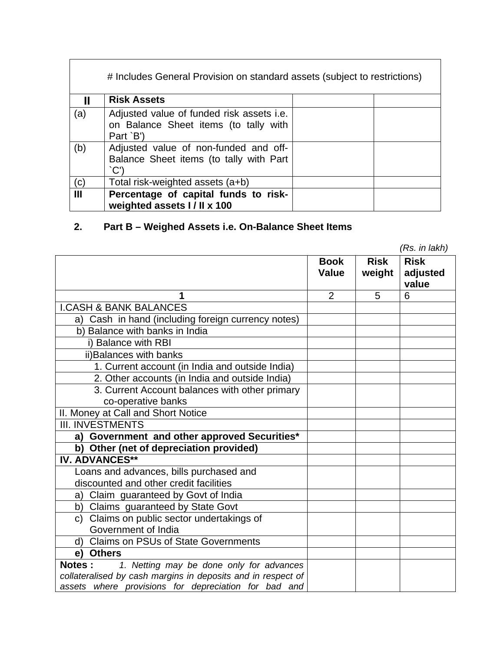| # Includes General Provision on standard assets (subject to restrictions) |                                                                                                 |  |  |  |
|---------------------------------------------------------------------------|-------------------------------------------------------------------------------------------------|--|--|--|
|                                                                           | <b>Risk Assets</b>                                                                              |  |  |  |
| (a)                                                                       | Adjusted value of funded risk assets i.e.<br>on Balance Sheet items (to tally with<br>Part `B') |  |  |  |
| (b)                                                                       | Adjusted value of non-funded and off-<br>Balance Sheet items (to tally with Part<br>C'          |  |  |  |
| (c)                                                                       | Total risk-weighted assets (a+b)                                                                |  |  |  |
| $\mathbf{III}$                                                            | Percentage of capital funds to risk-<br>weighted assets I / II x 100                            |  |  |  |

# **2. Part B – Weighed Assets i.e. On-Balance Sheet Items**

|                                                              |              |             | (RS. IN IAKN) |
|--------------------------------------------------------------|--------------|-------------|---------------|
|                                                              | <b>Book</b>  | <b>Risk</b> | <b>Risk</b>   |
|                                                              | <b>Value</b> | weight      | adjusted      |
|                                                              |              |             | value         |
| 1                                                            | 2            | 5           | 6             |
| <b>I.CASH &amp; BANK BALANCES</b>                            |              |             |               |
| a) Cash in hand (including foreign currency notes)           |              |             |               |
| b) Balance with banks in India                               |              |             |               |
| i) Balance with RBI                                          |              |             |               |
| ii) Balances with banks                                      |              |             |               |
| 1. Current account (in India and outside India)              |              |             |               |
| 2. Other accounts (in India and outside India)               |              |             |               |
| 3. Current Account balances with other primary               |              |             |               |
| co-operative banks                                           |              |             |               |
| II. Money at Call and Short Notice                           |              |             |               |
| <b>III. INVESTMENTS</b>                                      |              |             |               |
| a) Government and other approved Securities*                 |              |             |               |
| b) Other (net of depreciation provided)                      |              |             |               |
| <b>IV. ADVANCES**</b>                                        |              |             |               |
| Loans and advances, bills purchased and                      |              |             |               |
| discounted and other credit facilities                       |              |             |               |
| a) Claim guaranteed by Govt of India                         |              |             |               |
| b) Claims guaranteed by State Govt                           |              |             |               |
| c) Claims on public sector undertakings of                   |              |             |               |
| Government of India                                          |              |             |               |
| d) Claims on PSUs of State Governments                       |              |             |               |
| <b>Others</b><br>e)                                          |              |             |               |
| <b>Notes:</b><br>1. Netting may be done only for advances    |              |             |               |
| collateralised by cash margins in deposits and in respect of |              |             |               |
| assets where provisions for depreciation for bad and         |              |             |               |

*(Rs. in lakh)*